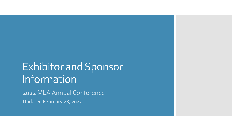# Exhibitor and Sponsor Information

2022 MLA Annual Conference Updated February 28, 2022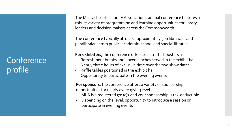## **Conference** profile

The Massachusetts Library Association's annual conference features a robust variety of programming and learning opportunities for library leaders and decision makers across the Commonwealth.

The conference typically attracts approximately 500 librarians and paralibraians from public, academic, school and special libraries.

**For exhibitors**, the conference offers such traffic boosters as:

- Refreshment breaks and boxed lunches served in the exhibit hall
- Nearly three hours of exclusive time over the two show dates
- Raffle tables positioned in the exhibit hall
- Opportunity to participate in the evening events

**For sponsors**, the conference offers a variety of sponsorship opportunities for nearly every giving level.

- MLA is a registered 501(c)3 and your sponsorship is tax-deductible
- Depending on the level, opportunity to introduce a session or participate in evening events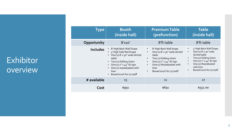### Exhibitor overview

| <b>Type</b>     | <b>Booth</b><br>(inside hall)                                                                                                                                                                                                       | <b>Premium Table</b><br>(prefunction)                                                                                                                                                                                                                                   | <b>Table</b><br>(inside hall)                                                                                                                                                                                                                                         |
|-----------------|-------------------------------------------------------------------------------------------------------------------------------------------------------------------------------------------------------------------------------------|-------------------------------------------------------------------------------------------------------------------------------------------------------------------------------------------------------------------------------------------------------------------------|-----------------------------------------------------------------------------------------------------------------------------------------------------------------------------------------------------------------------------------------------------------------------|
| Opportunity     | $8'$ x <sub>10</sub> $'$                                                                                                                                                                                                            | 8'ft table                                                                                                                                                                                                                                                              | 8'ft table                                                                                                                                                                                                                                                            |
| <b>Includes</b> | 8' High Back Wall Drape<br>• 3' High Side Rail Drape<br>One (1) 8' x 30" wide skirted<br>table<br>• Two $(2)$ folding chairs<br>One (1) $7'' \times 44''$ ID sign<br>One (1) wastebasket with<br>liner<br>Boxed lunch for (1) staff | 8' High Back Wall drape<br>$\bullet$<br>One (1) 8' x 30" wide skirted<br>$\bullet$<br>table<br>Two (2) folding chairs<br>$\bullet$<br>One (1) 7" x 44" ID sign<br>$\bullet$<br>One (1) Wastebasket with<br>$\bullet$<br>liner<br>Boxed lunch for (1) staff<br>$\bullet$ | 3' High Back Wall Drape<br>$\bullet$<br>One $(1)$ 8' x 30" wide<br>$\bullet$<br>skirted table<br>Two (2) folding chairs<br>One (1) $7'' \times 44''$ ID sign<br>$\bullet$<br>One (1) Wastebasket<br>$\bullet$<br>with liner<br>Boxed lunch for (1) staff<br>$\bullet$ |
| # available     | 15                                                                                                                                                                                                                                  | 11                                                                                                                                                                                                                                                                      | 27                                                                                                                                                                                                                                                                    |
| Cost            | \$991                                                                                                                                                                                                                               | \$691                                                                                                                                                                                                                                                                   | \$551.00                                                                                                                                                                                                                                                              |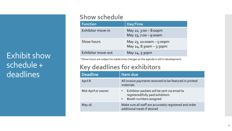## Exhibit show schedule + deadlines

#### **Show schedule**

| <b>Function</b>    | Day/Time                                              |
|--------------------|-------------------------------------------------------|
| Exhibitor move-in  | May 22, $3:00 - 8:00$ pm<br>May 23, 7:00 - 9:00am     |
| Show hours         | May 23, 10:00am $-$ 5:00pm<br>May 24, 8:30am - 3:30pm |
| Exhibitor move-out | May $24, 3:30$ pm                                     |

\*Show hours are subject to subtle time changes as the agenda is still in development.

#### **Key deadlines for exhibitors**

| <b>Deadline</b>     | Item due                                                                                                                            |
|---------------------|-------------------------------------------------------------------------------------------------------------------------------------|
| April 8             | All invoice payments received to be featured in printed<br>materials                                                                |
| Mid-April or sooner | Exhibitor packets will be sent via email to<br>$\bullet$<br>registered/fully paid exhibitors<br>Booth numbers assigned<br>$\bullet$ |
| May 16              | Make sure all staff are accurately registered and order<br>additional meals if desired                                              |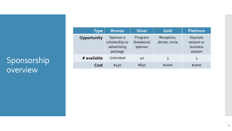## Sponsorship overview

| Type        | <b>Bronze</b>                                         | <b>Silver</b>                    | Gold                         | Platinum                                     |
|-------------|-------------------------------------------------------|----------------------------------|------------------------------|----------------------------------------------|
| Opportunity | Sponsor a<br>scholarship or<br>advertising<br>package | Program<br>(breakout)<br>sponsor | Reception,<br>dinner, trivia | Keynote<br>session or<br>business<br>session |
| # available | Unlimited                                             | 40                               | 3                            | 3                                            |
| Cost        | \$450                                                 | \$650                            | \$1000                       | \$2000                                       |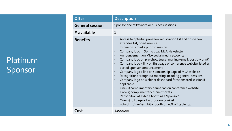## Platinum Sponsor

| Offer                  | <b>Description</b>                                                                                                                                                                                                                                                                                                                                                                                                                                                                                                                                                                                                                                                                                                                                                                                                                                                                                                                      |
|------------------------|-----------------------------------------------------------------------------------------------------------------------------------------------------------------------------------------------------------------------------------------------------------------------------------------------------------------------------------------------------------------------------------------------------------------------------------------------------------------------------------------------------------------------------------------------------------------------------------------------------------------------------------------------------------------------------------------------------------------------------------------------------------------------------------------------------------------------------------------------------------------------------------------------------------------------------------------|
| <b>General session</b> | Sponsor one of keynote or business sessions                                                                                                                                                                                                                                                                                                                                                                                                                                                                                                                                                                                                                                                                                                                                                                                                                                                                                             |
| # available            | 3                                                                                                                                                                                                                                                                                                                                                                                                                                                                                                                                                                                                                                                                                                                                                                                                                                                                                                                                       |
| <b>Benefits</b>        | Access to opted-in pre-show registration list and post-show<br>$\bullet$<br>attendee list, one-time use<br>In-person remarks prior to session<br>Company logo in Spring 2022 MLA Newsletter<br>Announcement on MLA social media accounts<br>Company logo on pre-show teaser mailing (email, possibly print)<br>Company logo + link on first page of conference website listed as<br>part of sponsor announcement<br>Company logo + link on sponsorship page of MLA website<br>Recognition throughout meeting including general sessions<br>Company logo on webinar dashboard for sponsored session if<br>applicable<br>One (1) complimentary banner ad on conference website<br>$\bullet$<br>Two (2) complimentary dinner tickets<br>$\bullet$<br>Recognition at exhibit booth as a 'sponsor'<br>$\bullet$<br>One (1) full page ad in program booklet<br>$\bullet$<br>50% off 10'x10' exhibitor booth or 25% off table top<br>$\bullet$ |
| Cost                   | \$2000.00                                                                                                                                                                                                                                                                                                                                                                                                                                                                                                                                                                                                                                                                                                                                                                                                                                                                                                                               |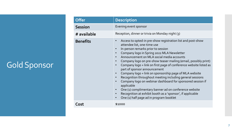## Gold Sponsor

| <b>Offer</b>    | <b>Description</b>                                                                                                                                                                                                                                                                                                                                                                                                                                                                                                                                                                                                                                                                                                                                                                                                                                                  |
|-----------------|---------------------------------------------------------------------------------------------------------------------------------------------------------------------------------------------------------------------------------------------------------------------------------------------------------------------------------------------------------------------------------------------------------------------------------------------------------------------------------------------------------------------------------------------------------------------------------------------------------------------------------------------------------------------------------------------------------------------------------------------------------------------------------------------------------------------------------------------------------------------|
| <b>Session</b>  | Evening event sponsor                                                                                                                                                                                                                                                                                                                                                                                                                                                                                                                                                                                                                                                                                                                                                                                                                                               |
| # available     | Reception, dinner or trivia on Monday night (3)                                                                                                                                                                                                                                                                                                                                                                                                                                                                                                                                                                                                                                                                                                                                                                                                                     |
| <b>Benefits</b> | Access to opted-in pre-show registration list and post-show<br>$\bullet$<br>attendee list, one-time use<br>In-person remarks prior to session<br>Company logo in Spring 2022 MLA Newsletter<br>$\bullet$<br>Announcement on MLA social media accounts<br>Company logo on pre-show teaser mailing (email, possibly print)<br>$\bullet$<br>Company logo + link on first page of conference website listed as<br>$\bullet$<br>part of sponsor announcement<br>Company logo + link on sponsorship page of MLA website<br>$\bullet$<br>Recognition throughout meeting including general sessions<br>Company logo on webinar dashboard for sponsored session if<br>applicable<br>One (1) complimentary banner ad on conference website<br>$\bullet$<br>Recognition at exhibit booth as a 'sponsor', if applicable<br>One (1) half page ad in program booklet<br>$\bullet$ |
| Cost            | \$1000                                                                                                                                                                                                                                                                                                                                                                                                                                                                                                                                                                                                                                                                                                                                                                                                                                                              |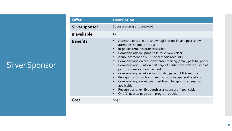## Silver Sponsor

| <b>Offer</b>          | Description                                                                                                                                                                                                                                                                                                                                                                                                                                                                                                                                                                                                                                                                                                        |
|-----------------------|--------------------------------------------------------------------------------------------------------------------------------------------------------------------------------------------------------------------------------------------------------------------------------------------------------------------------------------------------------------------------------------------------------------------------------------------------------------------------------------------------------------------------------------------------------------------------------------------------------------------------------------------------------------------------------------------------------------------|
| <b>Silver sponsor</b> | Sponsor a program/breakout                                                                                                                                                                                                                                                                                                                                                                                                                                                                                                                                                                                                                                                                                         |
| # available           | 40                                                                                                                                                                                                                                                                                                                                                                                                                                                                                                                                                                                                                                                                                                                 |
| <b>Benefits</b>       | Access to opted-in pre-show registration list and post-show<br>attendee list, one-time use<br>In-person remarks prior to session<br>Company logo in Spring 2022 MLA Newsletter<br>Announcement on MLA social media accounts<br>Company logo on pre-show teaser mailing (email, possibly print)<br>Company logo + link on first page of conference website listed as<br>part of sponsor announcement<br>Company logo + link on sponsorship page of MLA website<br>Recognition throughout meeting including general sessions<br>Company logo on webinar dashboard for sponsored session if<br>applicable<br>Recognition at exhibit booth as a 'sponsor', if applicable<br>One (1) quarter page ad in program booklet |
| Cost                  | \$650                                                                                                                                                                                                                                                                                                                                                                                                                                                                                                                                                                                                                                                                                                              |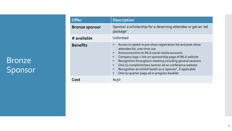### Bronze Sponsor

| <b>Offer</b>          | <b>Description</b>                                                                                                                                                                                                                                                                                                                                                                                                                                            |
|-----------------------|---------------------------------------------------------------------------------------------------------------------------------------------------------------------------------------------------------------------------------------------------------------------------------------------------------------------------------------------------------------------------------------------------------------------------------------------------------------|
| <b>Bronze sponsor</b> | Sponsor a scholarship for a deserving attendee or get an 'ad<br>package'                                                                                                                                                                                                                                                                                                                                                                                      |
| # available           | Unlimited                                                                                                                                                                                                                                                                                                                                                                                                                                                     |
| <b>Benefits</b>       | Access to opted-in pre-show registration list and post-show<br>attendee list, one-time use<br>Announcement on MLA social media accounts<br>$\bullet$<br>Company logo + link on sponsorship page of MLA website<br>Recognition throughout meeting including general sessions<br>One (1) complimentary banner ad on conference website<br>Recognition at exhibit booth as a 'sponsor', if applicable<br>One (1) quarter page ad in program booklet<br>$\bullet$ |
| ี ∩st                 | \$450                                                                                                                                                                                                                                                                                                                                                                                                                                                         |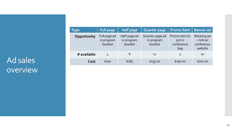### Ad sales overview

| <b>Type</b> | <b>Full page</b>                      | <b>Half page</b>                      | <b>Quarter page</b>                      | Promo item                                   | <b>Banner ad</b>                                  |
|-------------|---------------------------------------|---------------------------------------|------------------------------------------|----------------------------------------------|---------------------------------------------------|
| Opportunity | Full page ad<br>in program<br>booklet | Half-page ad<br>in program<br>booklet | Quarter-page ad<br>in program<br>booklet | Promo item to<br>put in<br>conference<br>bag | Rotating ad<br>+ link on<br>conference<br>website |
| # available | 4                                     | 8                                     | 12                                       | 5                                            | 10                                                |
| Cost        | \$250                                 | \$185                                 | \$135.00                                 | \$150.00                                     | \$200.00                                          |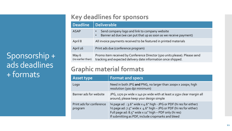Sponsorship + ads deadlines + formats

### **Key deadlines for sponsors**

| <b>Deadline</b>            | <b>Deliverable</b>                                                                                                                          |  |
|----------------------------|---------------------------------------------------------------------------------------------------------------------------------------------|--|
| <b>ASAP</b>                | Send company logo and link to company website<br>Banner ad due (we can put that up as soon as we receive payment)                           |  |
| April 8                    | All invoice payments received to be featured in printed materials                                                                           |  |
| April 16                   | Print ads due (conference program)                                                                                                          |  |
| May 6<br>(no earlier than) | Promo item received by Conference Director (500 units please). Please send<br>tracking and expected delivery date information once shipped. |  |

### **Graphic material formats**

| <b>Asset type</b>                   | <b>Format and specs</b>                                                                                                                                                                                                                                                   |
|-------------------------------------|---------------------------------------------------------------------------------------------------------------------------------------------------------------------------------------------------------------------------------------------------------------------------|
| Logo                                | Need in both JPG and PNG, no larger than 200px x 200px; high<br>resolution (300 dpi minimum)                                                                                                                                                                              |
| Banner ads for website              | JPG, 1170 px wide x 140 px wide with at least a 15px clear margin all<br>around; please keep your design simple                                                                                                                                                           |
| Print ads for conference<br>program | 4⁄4 page ad : 3.6" wide x 4.6" high - JPG or PDF (hi res for either)<br>$\frac{1}{2}$ page ad: 7.5" wide x 4.6" high - JPG or PDF (hi res for either)<br>Full page ad: $8.5''$ wide $x$ 11" high - PDF only (hi res)<br>If submitting as PDF, include cropmarks and bleed |